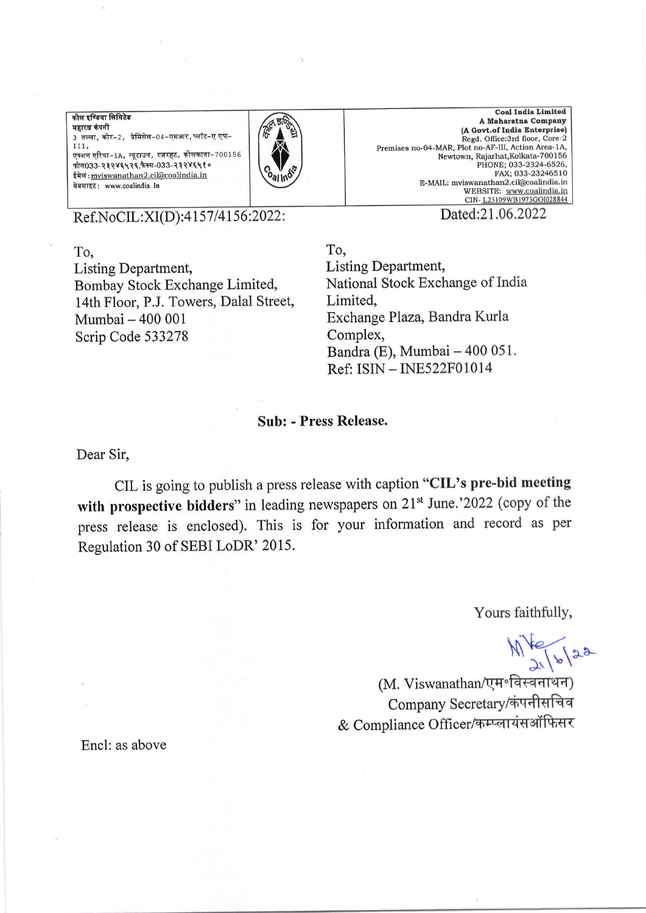<u>कोल इण्डिया लिमिटेड</u> महारत्न कंपनी 3 तल्ला, कोर-2, प्रेमिसेस-04-एमआर, प्लॉट-ए एफ<sup>r</sup>1r,  $\n$ एक्शन एरिया-1A, न्यूटाउन, रजरहट, कोलकाता-700156  $\overline{m}$ 1033-232845425,  $t$  of  $-033$ -2328480 ईमेल: mviswanathan2.cil@coalindia.in वेबसाइट: www.coalindia. In



Coal India Limited A Maharatna Company (A Govt.of India Enterprise)<br>Regd. Office:3rd floor, Core-2 Premises no-04-MAR, Plot no-AF-III, Action Area-1A, Newtown, Rajarhat, Kolkata-700156 PHONE; 033-2324-6526, FAX; 033-23246510 E-MAIL: mviswanathan2.cil@coalindia.in<br>WEBSITE: www.coalindia.in<br>CIN-<u>L23109WB1973GOI028844</u>

Ref.NoCIL:XI(D):4157/4156:2022:

Dated:21.06.2022

To. Listing Department, Bombay Stock Exchange Limited, 14th Floor, P.J. Towers, Dalal Street, Mumbai - 400 <sup>001</sup> Scrip Code 533278

To, Listing Department, National Stock Exchange of India Limited, Exchange Plaza, Bandra Kurla Complex, Bandra (E), Mumbai - 400 051. Ref: ISN - INE522F01014

## Sub: - Press Release.

Dear Sir,

CIL is going to publish a press release with caption "CIL's pre-bid meeting with prospective bidders" in leading newspapers on  $21<sup>st</sup>$  June.'2022 (copy of the press release is enclosed). This is for your information and record as per Regulation 30 of SEBI LoDR' 2015.

Yours faithfully,

 $\mathbb{M}$   $\mathbb{Z}$  /  $\mathbb{Z}$  /  $\mathbb{Z}$ <br>(M. Viswanathan/एम॰विस्वनाथन) Company Secretary/कंपनीसचिव & Compliance Officer/कम्प्लायंसऑफिसर

Encl: as above